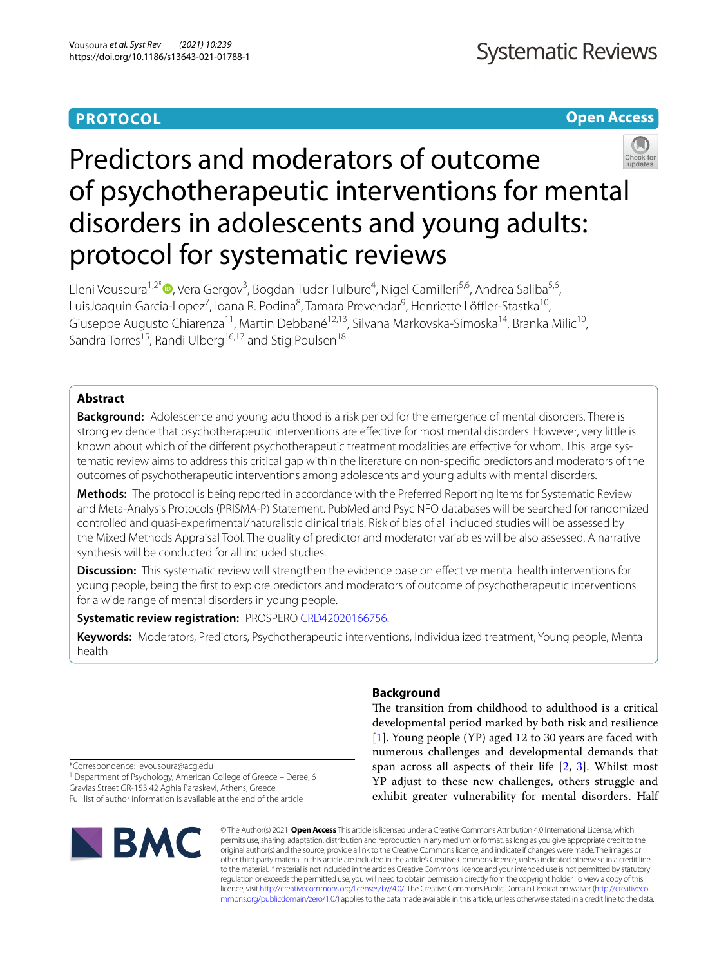# **PROTOCOL**

**Open Access**

# Predictors and moderators of outcome of psychotherapeutic interventions for mental disorders in adolescents and young adults: protocol for systematic reviews

Eleni Vousoura<sup>1,2[\\*](http://orcid.org/0000-0002-3212-8207)</sup><sup>®</sup>, Vera Gergov<sup>3</sup>, Bogdan Tudor Tulbure<sup>4</sup>, Nigel Camilleri<sup>5,6</sup>, Andrea Saliba<sup>5,6</sup>, LuisJoaquin Garcia-Lopez<sup>7</sup>, Ioana R. Podina<sup>8</sup>, Tamara Prevendar<sup>9</sup>, Henriette Löffler-Stastka<sup>10</sup>, Giuseppe Augusto Chiarenza<sup>11</sup>, Martin Debbané<sup>12,13</sup>, Silvana Markovska-Simoska<sup>14</sup>, Branka Milic<sup>10</sup>, Sandra Torres<sup>15</sup>, Randi Ulberg<sup>16,17</sup> and Stig Poulsen<sup>18</sup>

# **Abstract**

**Background:** Adolescence and young adulthood is a risk period for the emergence of mental disorders. There is strong evidence that psychotherapeutic interventions are efective for most mental disorders. However, very little is known about which of the different psychotherapeutic treatment modalities are effective for whom. This large systematic review aims to address this critical gap within the literature on non-specifc predictors and moderators of the outcomes of psychotherapeutic interventions among adolescents and young adults with mental disorders.

**Methods:** The protocol is being reported in accordance with the Preferred Reporting Items for Systematic Review and Meta-Analysis Protocols (PRISMA-P) Statement. PubMed and PsycINFO databases will be searched for randomized controlled and quasi-experimental/naturalistic clinical trials. Risk of bias of all included studies will be assessed by the Mixed Methods Appraisal Tool. The quality of predictor and moderator variables will be also assessed. A narrative synthesis will be conducted for all included studies.

**Discussion:** This systematic review will strengthen the evidence base on efective mental health interventions for young people, being the frst to explore predictors and moderators of outcome of psychotherapeutic interventions for a wide range of mental disorders in young people.

# **Systematic review registration:** PROSPERO [CRD42020166756.](https://www.crd.york.ac.uk/prospero/display_record.php?ID=CRD42020166756)

**Keywords:** Moderators, Predictors, Psychotherapeutic interventions, Individualized treatment, Young people, Mental health

# **Background**

The transition from childhood to adulthood is a critical developmental period marked by both risk and resilience [[1\]](#page-11-0). Young people (YP) aged 12 to 30 years are faced with numerous challenges and developmental demands that span across all aspects of their life [[2,](#page-11-1) [3\]](#page-11-2). Whilst most YP adjust to these new challenges, others struggle and exhibit greater vulnerability for mental disorders. Half

\*Correspondence: evousoura@acg.edu

<sup>1</sup> Department of Psychology, American College of Greece - Deree, 6 Gravias Street GR‑153 42 Aghia Paraskevi, Athens, Greece Full list of author information is available at the end of the article



© The Author(s) 2021. **Open Access** This article is licensed under a Creative Commons Attribution 4.0 International License, which permits use, sharing, adaptation, distribution and reproduction in any medium or format, as long as you give appropriate credit to the original author(s) and the source, provide a link to the Creative Commons licence, and indicate if changes were made. The images or other third party material in this article are included in the article's Creative Commons licence, unless indicated otherwise in a credit line to the material. If material is not included in the article's Creative Commons licence and your intended use is not permitted by statutory regulation or exceeds the permitted use, you will need to obtain permission directly from the copyright holder. To view a copy of this licence, visit [http://creativecommons.org/licenses/by/4.0/.](http://creativecommons.org/licenses/by/4.0/) The Creative Commons Public Domain Dedication waiver ([http://creativeco](http://creativecommons.org/publicdomain/zero/1.0/) [mmons.org/publicdomain/zero/1.0/](http://creativecommons.org/publicdomain/zero/1.0/)) applies to the data made available in this article, unless otherwise stated in a credit line to the data.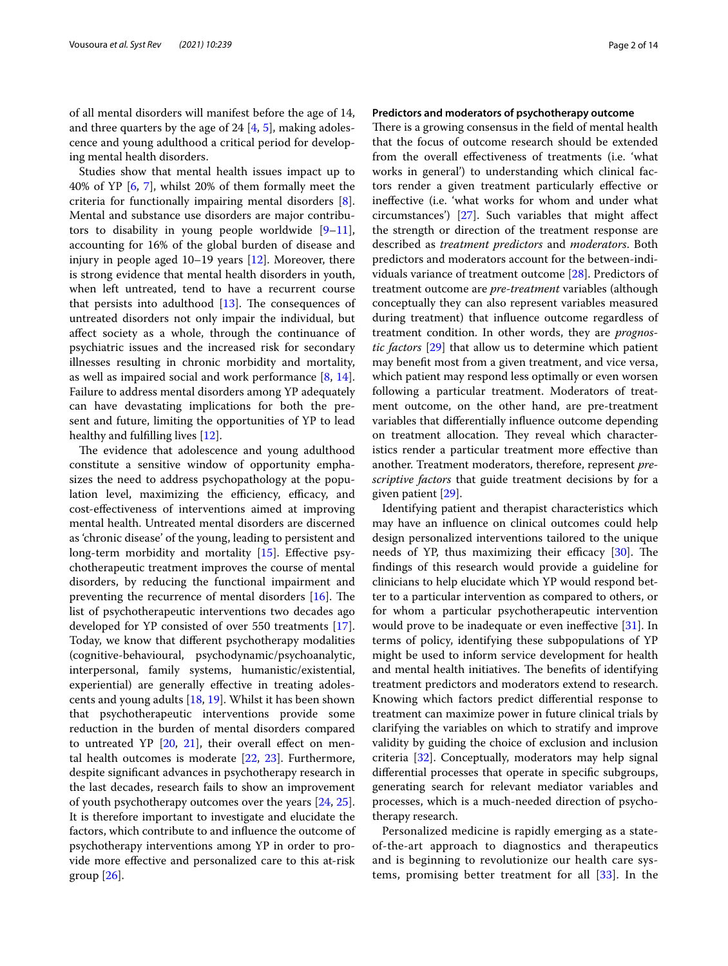of all mental disorders will manifest before the age of 14, and three quarters by the age of 24  $[4, 5]$  $[4, 5]$  $[4, 5]$  $[4, 5]$ , making adolescence and young adulthood a critical period for developing mental health disorders.

Studies show that mental health issues impact up to 40% of YP [[6,](#page-12-2) [7](#page-12-3)], whilst 20% of them formally meet the criteria for functionally impairing mental disorders [\[8](#page-12-4)]. Mental and substance use disorders are major contributors to disability in young people worldwide  $[9-11]$  $[9-11]$ , accounting for 16% of the global burden of disease and injury in people aged  $10-19$  years  $[12]$  $[12]$ . Moreover, there is strong evidence that mental health disorders in youth, when left untreated, tend to have a recurrent course that persists into adulthood  $[13]$  $[13]$  $[13]$ . The consequences of untreated disorders not only impair the individual, but afect society as a whole, through the continuance of psychiatric issues and the increased risk for secondary illnesses resulting in chronic morbidity and mortality, as well as impaired social and work performance [\[8](#page-12-4), [14](#page-12-9)]. Failure to address mental disorders among YP adequately can have devastating implications for both the present and future, limiting the opportunities of YP to lead healthy and fulflling lives [[12](#page-12-7)].

The evidence that adolescence and young adulthood constitute a sensitive window of opportunity emphasizes the need to address psychopathology at the population level, maximizing the efficiency, efficacy, and cost-efectiveness of interventions aimed at improving mental health. Untreated mental disorders are discerned as 'chronic disease' of the young, leading to persistent and long-term morbidity and mortality [\[15](#page-12-10)]. Effective psychotherapeutic treatment improves the course of mental disorders, by reducing the functional impairment and preventing the recurrence of mental disorders  $[16]$  $[16]$ . The list of psychotherapeutic interventions two decades ago developed for YP consisted of over 550 treatments [\[17](#page-12-12)]. Today, we know that diferent psychotherapy modalities (cognitive-behavioural, psychodynamic/psychoanalytic, interpersonal, family systems, humanistic/existential, experiential) are generally effective in treating adolescents and young adults [[18](#page-12-13), [19\]](#page-12-14). Whilst it has been shown that psychotherapeutic interventions provide some reduction in the burden of mental disorders compared to untreated YP  $[20, 21]$  $[20, 21]$  $[20, 21]$  $[20, 21]$  $[20, 21]$ , their overall effect on mental health outcomes is moderate [[22](#page-12-17), [23](#page-12-18)]. Furthermore, despite signifcant advances in psychotherapy research in the last decades, research fails to show an improvement of youth psychotherapy outcomes over the years [[24](#page-12-19), [25](#page-12-20)]. It is therefore important to investigate and elucidate the factors, which contribute to and infuence the outcome of psychotherapy interventions among YP in order to provide more efective and personalized care to this at-risk group  $[26]$  $[26]$ .

## **Predictors and moderators of psychotherapy outcome**

There is a growing consensus in the field of mental health that the focus of outcome research should be extended from the overall efectiveness of treatments (i.e. 'what works in general') to understanding which clinical factors render a given treatment particularly efective or inefective (i.e. 'what works for whom and under what circumstances') [\[27\]](#page-12-22). Such variables that might afect the strength or direction of the treatment response are described as *treatment predictors* and *moderators*. Both predictors and moderators account for the between-individuals variance of treatment outcome [\[28\]](#page-12-23). Predictors of treatment outcome are *pre-treatment* variables (although conceptually they can also represent variables measured during treatment) that infuence outcome regardless of treatment condition. In other words, they are *prognostic factors* [[29](#page-12-24)] that allow us to determine which patient may beneft most from a given treatment, and vice versa, which patient may respond less optimally or even worsen following a particular treatment. Moderators of treatment outcome, on the other hand, are pre-treatment variables that diferentially infuence outcome depending on treatment allocation. They reveal which characteristics render a particular treatment more efective than another. Treatment moderators, therefore, represent *prescriptive factors* that guide treatment decisions by for a given patient [\[29\]](#page-12-24).

Identifying patient and therapist characteristics which may have an infuence on clinical outcomes could help design personalized interventions tailored to the unique needs of YP, thus maximizing their efficacy  $[30]$ . The fndings of this research would provide a guideline for clinicians to help elucidate which YP would respond better to a particular intervention as compared to others, or for whom a particular psychotherapeutic intervention would prove to be inadequate or even ineffective [[31\]](#page-12-26). In terms of policy, identifying these subpopulations of YP might be used to inform service development for health and mental health initiatives. The benefits of identifying treatment predictors and moderators extend to research. Knowing which factors predict diferential response to treatment can maximize power in future clinical trials by clarifying the variables on which to stratify and improve validity by guiding the choice of exclusion and inclusion criteria [[32](#page-12-27)]. Conceptually, moderators may help signal diferential processes that operate in specifc subgroups, generating search for relevant mediator variables and processes, which is a much-needed direction of psychotherapy research.

Personalized medicine is rapidly emerging as a stateof-the-art approach to diagnostics and therapeutics and is beginning to revolutionize our health care systems, promising better treatment for all [[33](#page-12-28)]. In the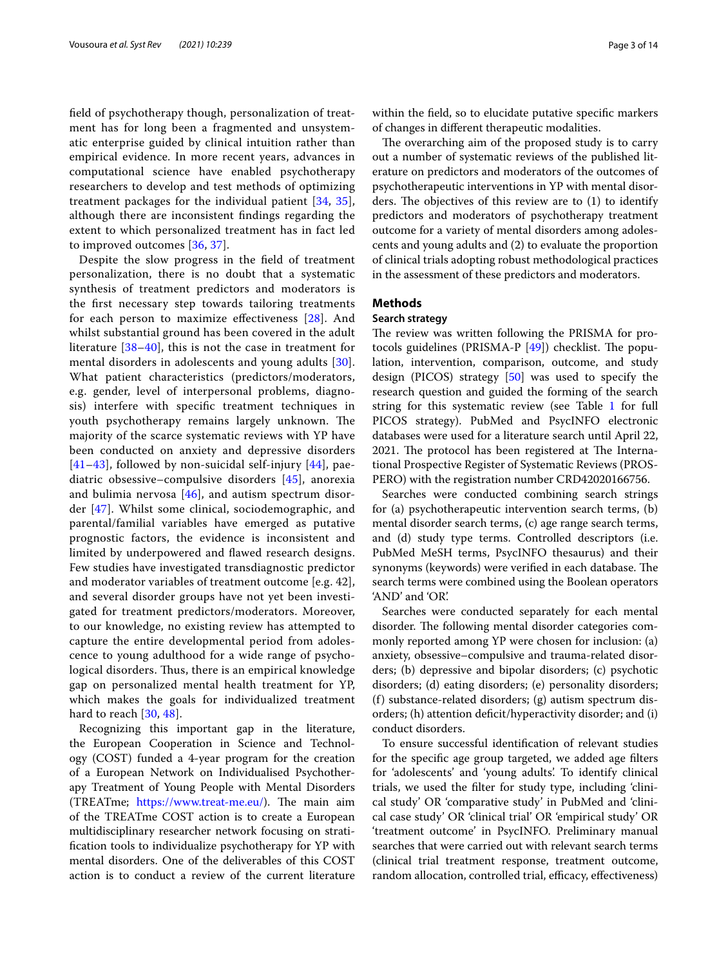feld of psychotherapy though, personalization of treatment has for long been a fragmented and unsystematic enterprise guided by clinical intuition rather than empirical evidence. In more recent years, advances in computational science have enabled psychotherapy researchers to develop and test methods of optimizing treatment packages for the individual patient [[34,](#page-12-29) [35\]](#page-12-30), although there are inconsistent fndings regarding the extent to which personalized treatment has in fact led to improved outcomes [\[36](#page-12-31), [37](#page-12-32)].

Despite the slow progress in the feld of treatment personalization, there is no doubt that a systematic synthesis of treatment predictors and moderators is the frst necessary step towards tailoring treatments for each person to maximize efectiveness [[28](#page-12-23)]. And whilst substantial ground has been covered in the adult literature [\[38](#page-12-33)[–40\]](#page-12-34), this is not the case in treatment for mental disorders in adolescents and young adults [[30\]](#page-12-25). What patient characteristics (predictors/moderators, e.g. gender, level of interpersonal problems, diagnosis) interfere with specifc treatment techniques in youth psychotherapy remains largely unknown. The majority of the scarce systematic reviews with YP have been conducted on anxiety and depressive disorders  $[41–43]$  $[41–43]$  $[41–43]$  $[41–43]$ , followed by non-suicidal self-injury  $[44]$  $[44]$ , paediatric obsessive–compulsive disorders [[45](#page-13-1)], anorexia and bulimia nervosa  $[46]$ , and autism spectrum disorder [[47\]](#page-13-3). Whilst some clinical, sociodemographic, and parental/familial variables have emerged as putative prognostic factors, the evidence is inconsistent and limited by underpowered and fawed research designs. Few studies have investigated transdiagnostic predictor and moderator variables of treatment outcome [e.g. 42], and several disorder groups have not yet been investigated for treatment predictors/moderators. Moreover, to our knowledge, no existing review has attempted to capture the entire developmental period from adolescence to young adulthood for a wide range of psychological disorders. Thus, there is an empirical knowledge gap on personalized mental health treatment for YP, which makes the goals for individualized treatment hard to reach [[30,](#page-12-25) [48\]](#page-13-4).

Recognizing this important gap in the literature, the European Cooperation in Science and Technology (COST) funded a 4-year program for the creation of a European Network on Individualised Psychotherapy Treatment of Young People with Mental Disorders (TREATme; [https://www.treat-me.eu/\)](https://www.treat-me.eu/). The main aim of the TREATme COST action is to create a European multidisciplinary researcher network focusing on stratifcation tools to individualize psychotherapy for YP with mental disorders. One of the deliverables of this COST action is to conduct a review of the current literature within the feld, so to elucidate putative specifc markers of changes in diferent therapeutic modalities.

The overarching aim of the proposed study is to carry out a number of systematic reviews of the published literature on predictors and moderators of the outcomes of psychotherapeutic interventions in YP with mental disorders. The objectives of this review are to  $(1)$  to identify predictors and moderators of psychotherapy treatment outcome for a variety of mental disorders among adolescents and young adults and (2) to evaluate the proportion of clinical trials adopting robust methodological practices in the assessment of these predictors and moderators.

# **Methods**

#### **Search strategy**

The review was written following the PRISMA for protocols guidelines (PRISMA-P  $[49]$ ) checklist. The population, intervention, comparison, outcome, and study design (PICOS) strategy [\[50](#page-13-6)] was used to specify the research question and guided the forming of the search string for this systematic review (see Table [1](#page-3-0) for full PICOS strategy). PubMed and PsycINFO electronic databases were used for a literature search until April 22, 2021. The protocol has been registered at The International Prospective Register of Systematic Reviews (PROS-PERO) with the registration number CRD42020166756.

Searches were conducted combining search strings for (a) psychotherapeutic intervention search terms, (b) mental disorder search terms, (c) age range search terms, and (d) study type terms. Controlled descriptors (i.e. PubMed MeSH terms, PsycINFO thesaurus) and their synonyms (keywords) were verified in each database. The search terms were combined using the Boolean operators 'AND' and 'OR'.

Searches were conducted separately for each mental disorder. The following mental disorder categories commonly reported among YP were chosen for inclusion: (a) anxiety, obsessive–compulsive and trauma-related disorders; (b) depressive and bipolar disorders; (c) psychotic disorders; (d) eating disorders; (e) personality disorders; (f) substance-related disorders; (g) autism spectrum disorders; (h) attention deficit/hyperactivity disorder; and (i) conduct disorders.

To ensure successful identifcation of relevant studies for the specifc age group targeted, we added age flters for 'adolescents' and 'young adults'. To identify clinical trials, we used the flter for study type, including 'clinical study' OR 'comparative study' in PubMed and 'clinical case study' OR 'clinical trial' OR 'empirical study' OR 'treatment outcome' in PsycINFO. Preliminary manual searches that were carried out with relevant search terms (clinical trial treatment response, treatment outcome, random allocation, controlled trial, efficacy, effectiveness)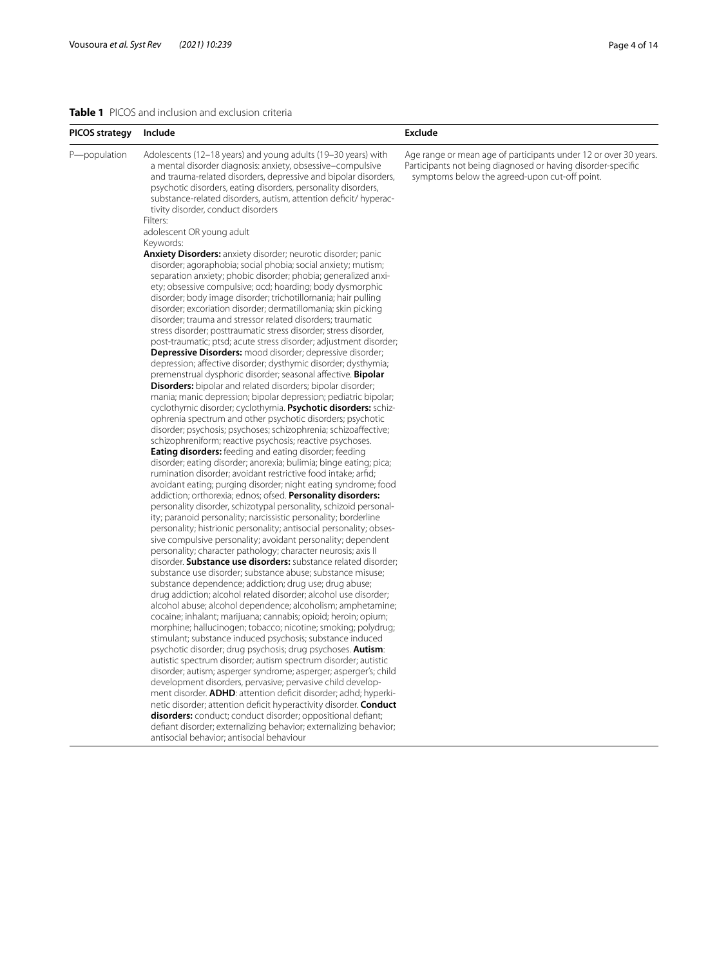# <span id="page-3-0"></span>**Table 1** PICOS and inclusion and exclusion criteria

| PICOS strategy | Include                                                                                                                                                                                                                                                                                                                                                                                                                                                                                                                                                                                                                                                                                                                                                                                                                                                                                                                                                                                                                                                                                                                                                                                                                                                                                                                                                                                                                                                                                                                                                                                                                                                                                                                                                                                                                                                                                                                                                                                                                                                                                                                                                                                                                            | Exclude                                                                                                                                                                           |
|----------------|------------------------------------------------------------------------------------------------------------------------------------------------------------------------------------------------------------------------------------------------------------------------------------------------------------------------------------------------------------------------------------------------------------------------------------------------------------------------------------------------------------------------------------------------------------------------------------------------------------------------------------------------------------------------------------------------------------------------------------------------------------------------------------------------------------------------------------------------------------------------------------------------------------------------------------------------------------------------------------------------------------------------------------------------------------------------------------------------------------------------------------------------------------------------------------------------------------------------------------------------------------------------------------------------------------------------------------------------------------------------------------------------------------------------------------------------------------------------------------------------------------------------------------------------------------------------------------------------------------------------------------------------------------------------------------------------------------------------------------------------------------------------------------------------------------------------------------------------------------------------------------------------------------------------------------------------------------------------------------------------------------------------------------------------------------------------------------------------------------------------------------------------------------------------------------------------------------------------------------|-----------------------------------------------------------------------------------------------------------------------------------------------------------------------------------|
| P-population   | Adolescents (12-18 years) and young adults (19-30 years) with<br>a mental disorder diagnosis: anxiety, obsessive-compulsive<br>and trauma-related disorders, depressive and bipolar disorders,<br>psychotic disorders, eating disorders, personality disorders,<br>substance-related disorders, autism, attention deficit/ hyperac-<br>tivity disorder, conduct disorders<br>Filters:                                                                                                                                                                                                                                                                                                                                                                                                                                                                                                                                                                                                                                                                                                                                                                                                                                                                                                                                                                                                                                                                                                                                                                                                                                                                                                                                                                                                                                                                                                                                                                                                                                                                                                                                                                                                                                              | Age range or mean age of participants under 12 or over 30 years.<br>Participants not being diagnosed or having disorder-specific<br>symptoms below the agreed-upon cut-off point. |
|                |                                                                                                                                                                                                                                                                                                                                                                                                                                                                                                                                                                                                                                                                                                                                                                                                                                                                                                                                                                                                                                                                                                                                                                                                                                                                                                                                                                                                                                                                                                                                                                                                                                                                                                                                                                                                                                                                                                                                                                                                                                                                                                                                                                                                                                    |                                                                                                                                                                                   |
|                |                                                                                                                                                                                                                                                                                                                                                                                                                                                                                                                                                                                                                                                                                                                                                                                                                                                                                                                                                                                                                                                                                                                                                                                                                                                                                                                                                                                                                                                                                                                                                                                                                                                                                                                                                                                                                                                                                                                                                                                                                                                                                                                                                                                                                                    |                                                                                                                                                                                   |
|                | adolescent OR young adult<br>Keywords:<br><b>Anxiety Disorders:</b> anxiety disorder; neurotic disorder; panic<br>disorder; agoraphobia; social phobia; social anxiety; mutism;<br>separation anxiety; phobic disorder; phobia; generalized anxi-<br>ety; obsessive compulsive; ocd; hoarding; body dysmorphic<br>disorder; body image disorder; trichotillomania; hair pulling<br>disorder; excoriation disorder; dermatillomania; skin picking<br>disorder; trauma and stressor related disorders; traumatic<br>stress disorder; posttraumatic stress disorder; stress disorder,<br>post-traumatic; ptsd; acute stress disorder; adjustment disorder;<br>Depressive Disorders: mood disorder; depressive disorder;<br>depression; affective disorder; dysthymic disorder; dysthymia;<br>premenstrual dysphoric disorder; seasonal affective. <b>Bipolar</b><br><b>Disorders:</b> bipolar and related disorders; bipolar disorder;<br>mania; manic depression; bipolar depression; pediatric bipolar;<br>cyclothymic disorder; cyclothymia. Psychotic disorders: schiz-<br>ophrenia spectrum and other psychotic disorders; psychotic<br>disorder; psychosis; psychoses; schizophrenia; schizoaffective;<br>schizophreniform; reactive psychosis; reactive psychoses.<br><b>Eating disorders:</b> feeding and eating disorder; feeding<br>disorder; eating disorder; anorexia; bulimia; binge eating; pica;<br>rumination disorder; avoidant restrictive food intake; arfid;<br>avoidant eating; purging disorder; night eating syndrome; food<br>addiction; orthorexia; ednos; ofsed. Personality disorders:<br>personality disorder, schizotypal personality, schizoid personal-<br>ity; paranoid personality; narcissistic personality; borderline<br>personality; histrionic personality; antisocial personality; obses-<br>sive compulsive personality; avoidant personality; dependent<br>personality; character pathology; character neurosis; axis II<br>disorder. <b>Substance use disorders:</b> substance related disorder;<br>substance use disorder; substance abuse; substance misuse;<br>substance dependence; addiction; drug use; drug abuse;<br>drug addiction; alcohol related disorder; alcohol use disorder; |                                                                                                                                                                                   |
|                | alcohol abuse; alcohol dependence; alcoholism; amphetamine;<br>cocaine; inhalant; marijuana; cannabis; opioid; heroin; opium;<br>morphine; hallucinogen; tobacco; nicotine; smoking; polydrug;<br>stimulant; substance induced psychosis; substance induced                                                                                                                                                                                                                                                                                                                                                                                                                                                                                                                                                                                                                                                                                                                                                                                                                                                                                                                                                                                                                                                                                                                                                                                                                                                                                                                                                                                                                                                                                                                                                                                                                                                                                                                                                                                                                                                                                                                                                                        |                                                                                                                                                                                   |
|                | psychotic disorder; drug psychosis; drug psychoses. <b>Autism</b> :<br>autistic spectrum disorder; autism spectrum disorder; autistic<br>disorder; autism; asperger syndrome; asperger; asperger's; child<br>development disorders, pervasive; pervasive child develop-                                                                                                                                                                                                                                                                                                                                                                                                                                                                                                                                                                                                                                                                                                                                                                                                                                                                                                                                                                                                                                                                                                                                                                                                                                                                                                                                                                                                                                                                                                                                                                                                                                                                                                                                                                                                                                                                                                                                                            |                                                                                                                                                                                   |
|                | ment disorder. <b>ADHD</b> : attention deficit disorder; adhd; hyperki-<br>netic disorder; attention deficit hyperactivity disorder. Conduct<br>disorders: conduct; conduct disorder; oppositional defiant;                                                                                                                                                                                                                                                                                                                                                                                                                                                                                                                                                                                                                                                                                                                                                                                                                                                                                                                                                                                                                                                                                                                                                                                                                                                                                                                                                                                                                                                                                                                                                                                                                                                                                                                                                                                                                                                                                                                                                                                                                        |                                                                                                                                                                                   |
|                | defiant disorder; externalizing behavior; externalizing behavior;<br>antisocial behavior; antisocial behaviour                                                                                                                                                                                                                                                                                                                                                                                                                                                                                                                                                                                                                                                                                                                                                                                                                                                                                                                                                                                                                                                                                                                                                                                                                                                                                                                                                                                                                                                                                                                                                                                                                                                                                                                                                                                                                                                                                                                                                                                                                                                                                                                     |                                                                                                                                                                                   |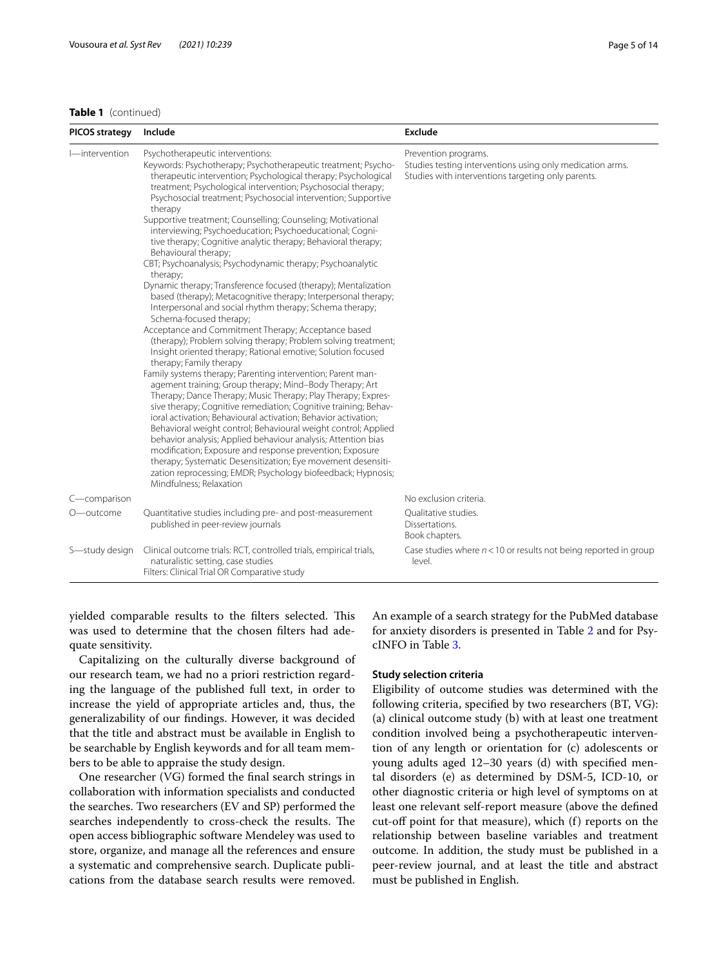# **Table 1** (continued)

| PICOS strategy | Include                                                                                                                                                                                                                                                                                                                                                                                                                                                                                                                                                                                                                                                                                                                                                                                                                                                                                                   | Exclude                                                                                                                                 |
|----------------|-----------------------------------------------------------------------------------------------------------------------------------------------------------------------------------------------------------------------------------------------------------------------------------------------------------------------------------------------------------------------------------------------------------------------------------------------------------------------------------------------------------------------------------------------------------------------------------------------------------------------------------------------------------------------------------------------------------------------------------------------------------------------------------------------------------------------------------------------------------------------------------------------------------|-----------------------------------------------------------------------------------------------------------------------------------------|
| l—intervention | Psychotherapeutic interventions:<br>Keywords: Psychotherapy; Psychotherapeutic treatment; Psycho-<br>therapeutic intervention; Psychological therapy; Psychological<br>treatment; Psychological intervention; Psychosocial therapy;<br>Psychosocial treatment; Psychosocial intervention; Supportive<br>therapy<br>Supportive treatment; Counselling; Counseling; Motivational<br>interviewing; Psychoeducation; Psychoeducational; Cogni-<br>tive therapy; Cognitive analytic therapy; Behavioral therapy;<br>Behavioural therapy;<br>CBT; Psychoanalysis; Psychodynamic therapy; Psychoanalytic<br>therapy;<br>Dynamic therapy; Transference focused (therapy); Mentalization<br>based (therapy); Metacognitive therapy; Interpersonal therapy;<br>Interpersonal and social rhythm therapy; Schema therapy;<br>Schema-focused therapy;                                                                  | Prevention programs.<br>Studies testing interventions using only medication arms.<br>Studies with interventions targeting only parents. |
|                | Acceptance and Commitment Therapy; Acceptance based<br>(therapy); Problem solving therapy; Problem solving treatment;<br>Insight oriented therapy; Rational emotive; Solution focused<br>therapy; Family therapy<br>Family systems therapy; Parenting intervention; Parent man-<br>agement training; Group therapy; Mind-Body Therapy; Art<br>Therapy; Dance Therapy; Music Therapy; Play Therapy; Expres-<br>sive therapy; Cognitive remediation; Cognitive training; Behav-<br>ioral activation; Behavioural activation; Behavior activation;<br>Behavioral weight control; Behavioural weight control; Applied<br>behavior analysis; Applied behaviour analysis; Attention bias<br>modification; Exposure and response prevention; Exposure<br>therapy; Systematic Desensitization; Eye movement desensiti-<br>zation reprocessing; EMDR; Psychology biofeedback; Hypnosis;<br>Mindfulness; Relaxation |                                                                                                                                         |
| C-comparison   |                                                                                                                                                                                                                                                                                                                                                                                                                                                                                                                                                                                                                                                                                                                                                                                                                                                                                                           | No exclusion criteria.                                                                                                                  |
| O-outcome      | Quantitative studies including pre- and post-measurement<br>published in peer-review journals                                                                                                                                                                                                                                                                                                                                                                                                                                                                                                                                                                                                                                                                                                                                                                                                             | Qualitative studies.<br>Dissertations.<br>Book chapters.                                                                                |
| S-study design | Clinical outcome trials: RCT, controlled trials, empirical trials,<br>naturalistic setting, case studies<br>Filters: Clinical Trial OR Comparative study                                                                                                                                                                                                                                                                                                                                                                                                                                                                                                                                                                                                                                                                                                                                                  | Case studies where $n < 10$ or results not being reported in group<br>level.                                                            |

yielded comparable results to the filters selected. This was used to determine that the chosen flters had adequate sensitivity.

Capitalizing on the culturally diverse background of our research team, we had no a priori restriction regarding the language of the published full text, in order to increase the yield of appropriate articles and, thus, the generalizability of our fndings. However, it was decided that the title and abstract must be available in English to be searchable by English keywords and for all team members to be able to appraise the study design.

One researcher (VG) formed the fnal search strings in collaboration with information specialists and conducted the searches. Two researchers (EV and SP) performed the searches independently to cross-check the results. The open access bibliographic software Mendeley was used to store, organize, and manage all the references and ensure a systematic and comprehensive search. Duplicate publications from the database search results were removed. An example of a search strategy for the PubMed database for anxiety disorders is presented in Table [2](#page-5-0) and for PsycINFO in Table [3](#page-6-0).

#### **Study selection criteria**

Eligibility of outcome studies was determined with the following criteria, specifed by two researchers (BT, VG): (a) clinical outcome study (b) with at least one treatment condition involved being a psychotherapeutic intervention of any length or orientation for (c) adolescents or young adults aged 12–30 years (d) with specifed mental disorders (e) as determined by DSM-5, ICD-10, or other diagnostic criteria or high level of symptoms on at least one relevant self-report measure (above the defned cut-of point for that measure), which (f) reports on the relationship between baseline variables and treatment outcome. In addition, the study must be published in a peer-review journal, and at least the title and abstract must be published in English.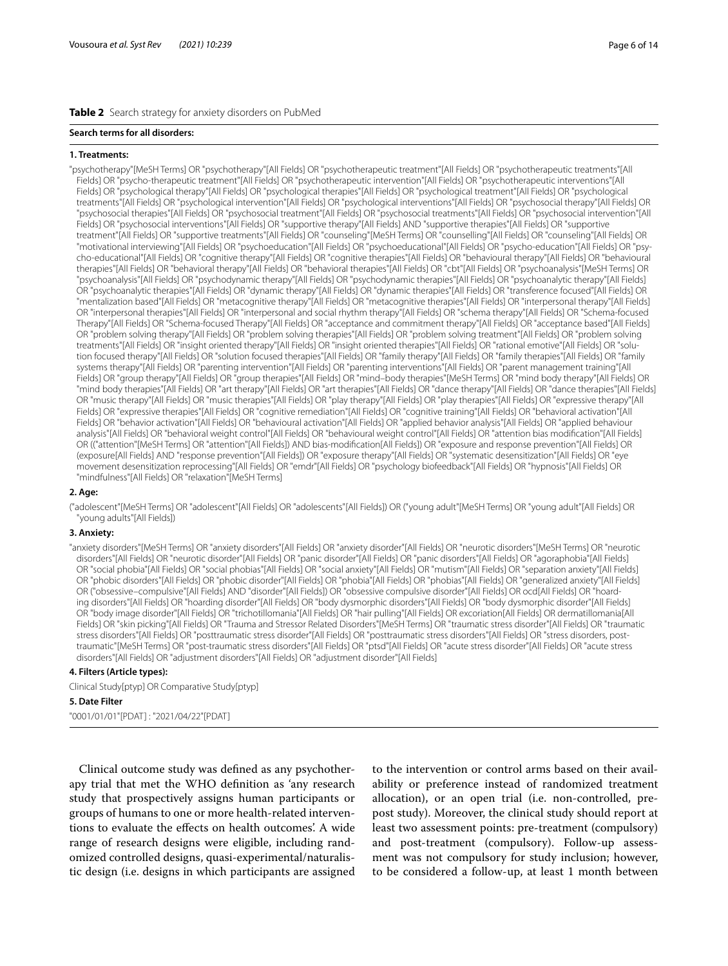#### <span id="page-5-0"></span>**Table 2** Search strategy for anxiety disorders on PubMed

#### **Search terms for all disorders:**

#### **1. Treatments:**

"psychotherapy"[MeSH Terms] OR "psychotherapy"[All Fields] OR "psychotherapeutic treatment"[All Fields] OR "psychotherapeutic treatments"[All Fields] OR "psycho-therapeutic treatment"[All Fields] OR "psychotherapeutic intervention"[All Fields] OR "psychotherapeutic interventions"[All Fields] OR "psychological therapy"[All Fields] OR "psychological therapies"[All Fields] OR "psychological treatment"[All Fields] OR "psychological treatments"[All Fields] OR "psychological intervention"[All Fields] OR "psychological interventions"[All Fields] OR "psychosocial therapy"[All Fields] OR "psychosocial therapies"[All Fields] OR "psychosocial treatment"[All Fields] OR "psychosocial treatments"[All Fields] OR "psychosocial intervention"[All Fields] OR "psychosocial interventions"[All Fields] OR "supportive therapy"[All Fields] AND "supportive therapies"[All Fields] OR "supportive treatment"[All Fields] OR "supportive treatments"[All Fields] OR "counseling"[MeSH Terms] OR "counselling"[All Fields] OR "counseling"[All Fields] OR "motivational interviewing"[All Fields] OR "psychoeducation"[All Fields] OR "psychoeducational"[All Fields] OR "psycho-education"[All Fields] OR "psycho-educational"[All Fields] OR "cognitive therapy"[All Fields] OR "cognitive therapies"[All Fields] OR "behavioural therapy"[All Fields] OR "behavioural therapies"[All Fields] OR "behavioral therapy"[All Fields] OR "behavioral therapies"[All Fields] OR "cbt"[All Fields] OR "psychoanalysis"[MeSH Terms] OR "psychoanalysis"[All Fields] OR "psychodynamic therapy"[All Fields] OR "psychodynamic therapies"[All Fields] OR "psychoanalytic therapy"[All Fields] OR "psychoanalytic therapies"[All Fields] OR "dynamic therapy"[All Fields] OR "dynamic therapies"[All Fields] OR "transference focused"[All Fields] OR "mentalization based"[All Fields] OR "metacognitive therapy"[All Fields] OR "metacognitive therapies"[All Fields] OR "interpersonal therapy"[All Fields] OR "interpersonal therapies"[All Fields] OR "interpersonal and social rhythm therapy"[All Fields] OR "schema therapy"[All Fields] OR "Schema-focused Therapy"[All Fields] OR "Schema-focused Therapy"[All Fields] OR "acceptance and commitment therapy"[All Fields] OR "acceptance based"[All Fields] OR "problem solving therapy"[All Fields] OR "problem solving therapies"[All Fields] OR "problem solving treatment"[All Fields] OR "problem solving treatments"[All Fields] OR "insight oriented therapy"[All Fields] OR "insight oriented therapies"[All Fields] OR "rational emotive"[All Fields] OR "solu‑ tion focused therapy"[All Fields] OR "solution focused therapies"[All Fields] OR "family therapy"[All Fields] OR "family therapies"[All Fields] OR "family systems therapy"[All Fields] OR "parenting intervention"[All Fields] OR "parenting interventions"[All Fields] OR "parent management training"[All Fields] OR "group therapy"[All Fields] OR "group therapies"[All Fields] OR "mind–body therapies"[MeSH Terms] OR "mind body therapy"[All Fields] OR "mind body therapies"[All Fields] OR "art therapy"[All Fields] OR "art therapies"[All Fields] OR "dance therapy"[All Fields] OR "dance therapies"[All Fields] OR "music therapy"[All Fields] OR "music therapies"[All Fields] OR "play therapy"[All Fields] OR "play therapies"[All Fields] OR "expressive therapy"[All Fields] OR "expressive therapies"[All Fields] OR "cognitive remediation"[All Fields] OR "cognitive training"[All Fields] OR "behavioral activation"[All Fields] OR "behavior activation"[All Fields] OR "behavioural activation"[All Fields] OR "applied behavior analysis"[All Fields] OR "applied behaviour analysis"[All Fields] OR "behavioral weight control"[All Fields] OR "behavioural weight control"[All Fields] OR "attention bias modifcation"[All Fields] OR (("attention"[MeSH Terms] OR "attention"[All Fields]) AND bias-modifcation[All Fields]) OR "exposure and response prevention"[All Fields] OR (exposure[All Fields] AND "response prevention"[All Fields]) OR "exposure therapy"[All Fields] OR "systematic desensitization"[All Fields] OR "eye movement desensitization reprocessing"[All Fields] OR "emdr"[All Fields] OR "psychology biofeedback"[All Fields] OR "hypnosis"[All Fields] OR "mindfulness"[All Fields] OR "relaxation"[MeSH Terms]

#### **2. Age:**

("adolescent"[MeSH Terms] OR "adolescent"[All Fields] OR "adolescents"[All Fields]) OR ("young adult"[MeSH Terms] OR "young adult"[All Fields] OR "young adults"[All Fields])

#### **3. Anxiety:**

"anxiety disorders"[MeSH Terms] OR "anxiety disorders"[All Fields] OR "anxiety disorder"[All Fields] OR "neurotic disorders"[MeSH Terms] OR "neurotic disorders"[All Fields] OR "neurotic disorder"[All Fields] OR "panic disorder"[All Fields] OR "panic disorders"[All Fields] OR "agoraphobia"[All Fields] OR "social phobia"[All Fields] OR "social phobias"[All Fields] OR "social anxiety"[All Fields] OR "mutism"[All Fields] OR "separation anxiety"[All Fields] OR "phobic disorders"[All Fields] OR "phobic disorder"[All Fields] OR "phobia"[All Fields] OR "phobias"[All Fields] OR "generalized anxiety"[All Fields] OR ("obsessive-compulsive"[All Fields] AND "disorder"[All Fields]) OR "obsessive compulsive disorder"[All Fields] OR ocd[All Fields] OR "hoarding disorders"[All Fields] OR "hoarding disorder"[All Fields] OR "body dysmorphic disorders"[All Fields] OR "body dysmorphic disorder"[All Fields] OR "body image disorder"[All Fields] OR "trichotillomania"[All Fields] OR "hair pulling"[All Fields] OR excoriation[All Fields] OR dermatillomania[All Fields] OR "skin picking"[All Fields] OR "Trauma and Stressor Related Disorders"[MeSH Terms] OR "traumatic stress disorder"[All Fields] OR "traumatic stress disorders"[All Fields] OR "posttraumatic stress disorder"[All Fields] OR "posttraumatic stress disorders"[All Fields] OR "stress disorders, posttraumatic"[MeSH Terms] OR "post-traumatic stress disorders"[All Fields] OR "ptsd"[All Fields] OR "acute stress disorder"[All Fields] OR "acute stress disorders"[All Fields] OR "adjustment disorders"[All Fields] OR "adjustment disorder"[All Fields]

## **4. Filters (Article types):**

Clinical Study[ptyp] OR Comparative Study[ptyp]

#### **5. Date Filter**

"0001/01/01"[PDAT] : "2021/04/22"[PDAT]

Clinical outcome study was defned as any psychotherapy trial that met the WHO defnition as 'any research study that prospectively assigns human participants or groups of humans to one or more health-related interventions to evaluate the efects on health outcomes'. A wide range of research designs were eligible, including randomized controlled designs, quasi-experimental/naturalistic design (i.e. designs in which participants are assigned

to the intervention or control arms based on their availability or preference instead of randomized treatment allocation), or an open trial (i.e. non-controlled, prepost study). Moreover, the clinical study should report at least two assessment points: pre-treatment (compulsory) and post-treatment (compulsory). Follow-up assessment was not compulsory for study inclusion; however, to be considered a follow-up, at least 1 month between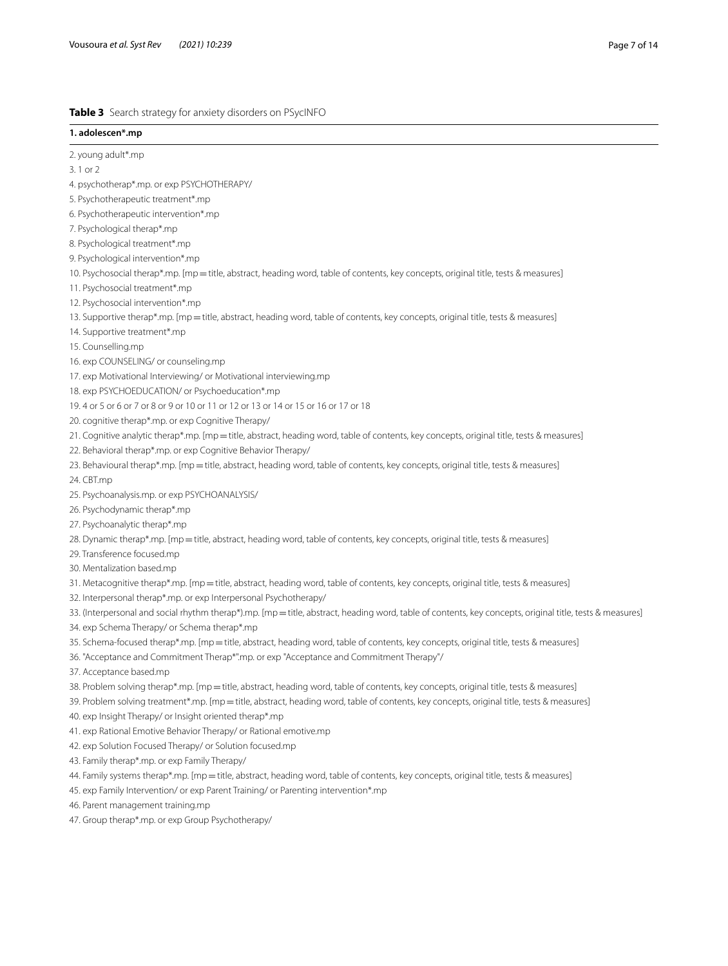# <span id="page-6-0"></span>**Table 3** Search strategy for anxiety disorders on PSycINFO

# **1. adolescen\*.mp**

2. young adult\*.mp

3. 1 or 2

- 4. psychotherap\*.mp. or exp PSYCHOTHERAPY/
- 5. Psychotherapeutic treatment\*.mp
- 6. Psychotherapeutic intervention\*.mp
- 7. Psychological therap\*.mp
- 8. Psychological treatment\*.mp
- 9. Psychological intervention\*.mp
- 10. Psychosocial therap\*.mp. [mp=title, abstract, heading word, table of contents, key concepts, original title, tests & measures]
- 11. Psychosocial treatment\*.mp
- 12. Psychosocial intervention\*.mp
- 13. Supportive therap\*.mp. [mp = title, abstract, heading word, table of contents, key concepts, original title, tests & measures]
- 14. Supportive treatment\*.mp
- 15. Counselling.mp
- 16. exp COUNSELING/ or counseling.mp
- 17. exp Motivational Interviewing/ or Motivational interviewing.mp
- 18. exp PSYCHOEDUCATION/ or Psychoeducation\*.mp
- 19. 4 or 5 or 6 or 7 or 8 or 9 or 10 or 11 or 12 or 13 or 14 or 15 or 16 or 17 or 18
- 20. cognitive therap\*.mp. or exp Cognitive Therapy/
- 21. Cognitive analytic therap\*.mp. [mp=title, abstract, heading word, table of contents, key concepts, original title, tests & measures]
- 22. Behavioral therap\*.mp. or exp Cognitive Behavior Therapy/
- 23. Behavioural therap\*.mp. [mp=title, abstract, heading word, table of contents, key concepts, original title, tests & measures]
- 24. CBT.mp
- 25. Psychoanalysis.mp. or exp PSYCHOANALYSIS/
- 26. Psychodynamic therap\*.mp
- 27. Psychoanalytic therap\*.mp
- 28. Dynamic therap\*.mp. [mp=title, abstract, heading word, table of contents, key concepts, original title, tests & measures]
- 29. Transference focused.mp
- 30. Mentalization based.mp
- 31. Metacognitive therap\*.mp. [mp=title, abstract, heading word, table of contents, key concepts, original title, tests & measures]
- 32. Interpersonal therap\*.mp. or exp Interpersonal Psychotherapy/
- 33. (Interpersonal and social rhythm therap\*).mp. [mp = title, abstract, heading word, table of contents, key concepts, original title, tests & measures]
- 34. exp Schema Therapy/ or Schema therap\*.mp
- 35. Schema-focused therap\*.mp. [mp=title, abstract, heading word, table of contents, key concepts, original title, tests & measures]
- 36. "Acceptance and Commitment Therap\*".mp. or exp "Acceptance and Commitment Therapy"/
- 37. Acceptance based.mp
- 38. Problem solving therap\*.mp. [mp=title, abstract, heading word, table of contents, key concepts, original title, tests & measures]
- 39. Problem solving treatment\*.mp. [mp=title, abstract, heading word, table of contents, key concepts, original title, tests & measures]
- 40. exp Insight Therapy/ or Insight oriented therap\*.mp
- 41. exp Rational Emotive Behavior Therapy/ or Rational emotive.mp
- 42. exp Solution Focused Therapy/ or Solution focused.mp
- 43. Family therap\*.mp. or exp Family Therapy/
- 44. Family systems therap\*.mp. [mp=title, abstract, heading word, table of contents, key concepts, original title, tests & measures]
- 45. exp Family Intervention/ or exp Parent Training/ or Parenting intervention\*.mp
- 46. Parent management training.mp
- 47. Group therap\*.mp. or exp Group Psychotherapy/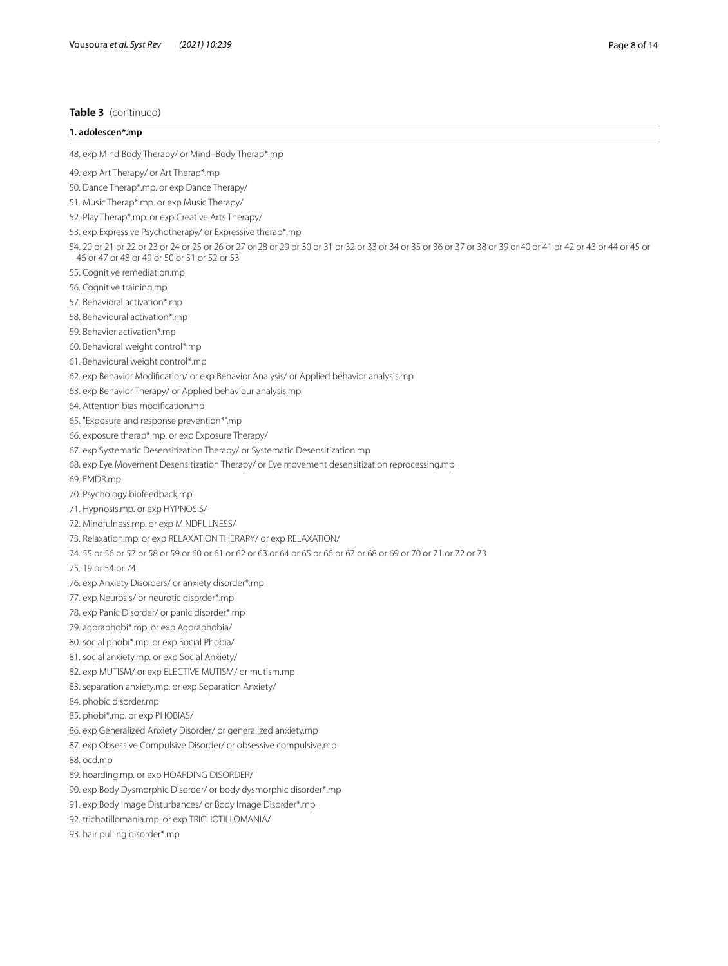# **Table 3** (continued)

| 1. adolescen*.mp                                                                                                                                                                                                |
|-----------------------------------------------------------------------------------------------------------------------------------------------------------------------------------------------------------------|
| 48. exp Mind Body Therapy/ or Mind-Body Therap*.mp                                                                                                                                                              |
| 49. exp Art Therapy/ or Art Therap*.mp                                                                                                                                                                          |
| 50. Dance Therap*.mp. or exp Dance Therapy/                                                                                                                                                                     |
| 51. Music Therap*.mp. or exp Music Therapy/                                                                                                                                                                     |
| 52. Play Therap*.mp. or exp Creative Arts Therapy/                                                                                                                                                              |
| 53. exp Expressive Psychotherapy/ or Expressive therap*.mp                                                                                                                                                      |
| 54. 20 or 21 or 22 or 23 or 24 or 25 or 26 or 27 or 28 or 29 or 30 or 31 or 32 or 33 or 34 or 35 or 36 or 37 or 38 or 39 or 40 or 41 or 42 or 43 or 44 or 45 or<br>46 or 47 or 48 or 49 or 50 or 51 or 52 or 53 |
| 55. Cognitive remediation.mp                                                                                                                                                                                    |
| 56. Cognitive training.mp                                                                                                                                                                                       |
| 57. Behavioral activation*.mp                                                                                                                                                                                   |
| 58. Behavioural activation*.mp                                                                                                                                                                                  |
| 59. Behavior activation*.mp                                                                                                                                                                                     |
| 60. Behavioral weight control*.mp                                                                                                                                                                               |
| 61. Behavioural weight control*.mp                                                                                                                                                                              |
| 62. exp Behavior Modification/ or exp Behavior Analysis/ or Applied behavior analysis.mp                                                                                                                        |
| 63. exp Behavior Therapy/ or Applied behaviour analysis.mp                                                                                                                                                      |
| 64. Attention bias modification.mp                                                                                                                                                                              |
| 65. "Exposure and response prevention*".mp                                                                                                                                                                      |
| 66. exposure therap*.mp. or exp Exposure Therapy/                                                                                                                                                               |
| 67. exp Systematic Desensitization Therapy/ or Systematic Desensitization.mp                                                                                                                                    |
| 68. exp Eye Movement Desensitization Therapy/ or Eye movement desensitization reprocessing.mp                                                                                                                   |
| 69. EMDR.mp                                                                                                                                                                                                     |
| 70. Psychology biofeedback.mp                                                                                                                                                                                   |
| 71. Hypnosis.mp. or exp HYPNOSIS/                                                                                                                                                                               |
| 72. Mindfulness.mp. or exp MINDFULNESS/                                                                                                                                                                         |
| 73. Relaxation.mp. or exp RELAXATION THERAPY/ or exp RELAXATION/                                                                                                                                                |
| 74.55 or 56 or 57 or 58 or 59 or 60 or 61 or 62 or 63 or 64 or 65 or 66 or 67 or 68 or 69 or 70 or 71 or 72 or 73                                                                                               |
| 75.19 or 54 or 74                                                                                                                                                                                               |
| 76. exp Anxiety Disorders/ or anxiety disorder*.mp                                                                                                                                                              |
| 77. exp Neurosis/ or neurotic disorder*.mp                                                                                                                                                                      |
| 78. exp Panic Disorder/ or panic disorder*.mp                                                                                                                                                                   |
| 79. agoraphobi*.mp. or exp Agoraphobia/                                                                                                                                                                         |
| 80. social phobi*.mp. or exp Social Phobia/                                                                                                                                                                     |
| 81. social anxiety.mp. or exp Social Anxiety/                                                                                                                                                                   |
| 82. exp MUTISM/ or exp ELECTIVE MUTISM/ or mutism.mp                                                                                                                                                            |
| 83. separation anxiety.mp. or exp Separation Anxiety/                                                                                                                                                           |
| 84. phobic disorder.mp                                                                                                                                                                                          |
| 85. phobi*.mp. or exp PHOBIAS/                                                                                                                                                                                  |
| 86. exp Generalized Anxiety Disorder/ or generalized anxiety.mp                                                                                                                                                 |
| 87. exp Obsessive Compulsive Disorder/ or obsessive compulsive.mp                                                                                                                                               |
| 88. ocd.mp                                                                                                                                                                                                      |
| 89. hoarding.mp. or exp HOARDING DISORDER/                                                                                                                                                                      |
| 90. exp Body Dysmorphic Disorder/ or body dysmorphic disorder*.mp                                                                                                                                               |
| 91. exp Body Image Disturbances/ or Body Image Disorder*.mp                                                                                                                                                     |
| 92. trichotillomania.mp. or exp TRICHOTILLOMANIA/                                                                                                                                                               |
| 93. hair pulling disorder*.mp                                                                                                                                                                                   |
|                                                                                                                                                                                                                 |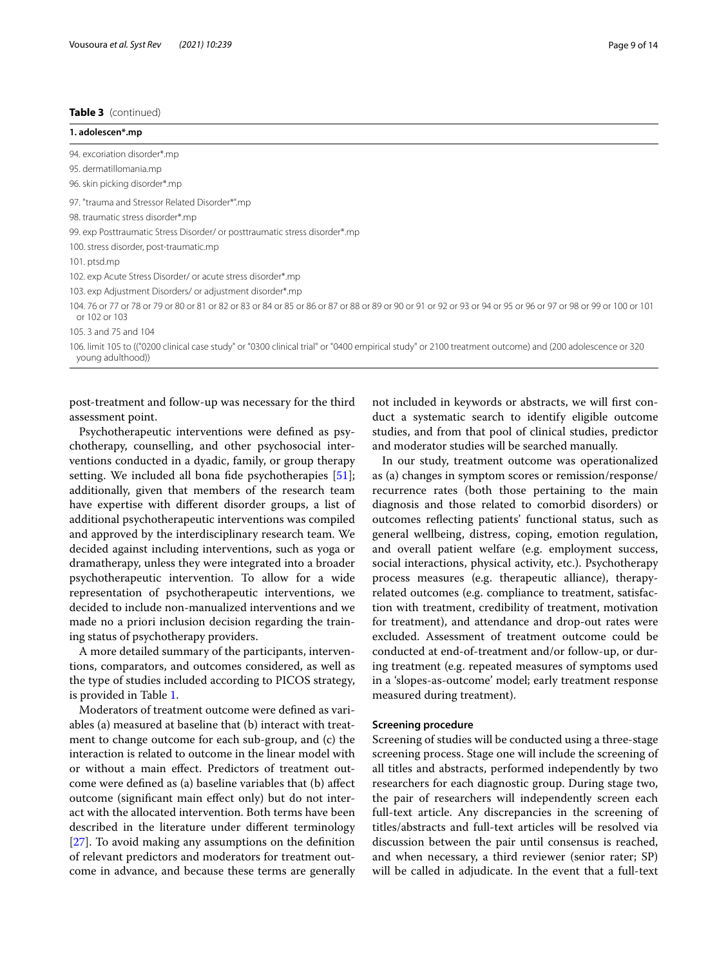#### **Table 3** (continued)

| 1. adolescen*.mp                                                                                                                                                                 |
|----------------------------------------------------------------------------------------------------------------------------------------------------------------------------------|
| 94. excoriation disorder*.mp                                                                                                                                                     |
| 95. dermatillomania.mp                                                                                                                                                           |
| 96. skin picking disorder*.mp                                                                                                                                                    |
| 97. "trauma and Stressor Related Disorder*".mp                                                                                                                                   |
| 98. traumatic stress disorder*.mp                                                                                                                                                |
| 99. exp Posttraumatic Stress Disorder/ or posttraumatic stress disorder*.mp                                                                                                      |
| 100. stress disorder, post-traumatic.mp                                                                                                                                          |
| 101. ptsd.mp                                                                                                                                                                     |
| 102. exp Acute Stress Disorder/ or acute stress disorder*.mp                                                                                                                     |
| 103. exp Adjustment Disorders/ or adjustment disorder*.mp                                                                                                                        |
| 104, 76 or 77 or 78 or 79 or 80 or 81 or 82 or 83 or 84 or 85 or 86 or 87 or 88 or 89 or 90 or 91 or 92 or 93 or 94 or 95 or 96 or 97 or 98 or 99 or 100 or 101<br>or 102 or 103 |
| 105.3 and 75 and 104                                                                                                                                                             |
| 106. limit 105 to (("0200 clinical case study" or "0300 clinical trial" or "0400 empirical study" or 2100 treatment outcome) and (200 adolescence or 320<br>young adulthood)     |

post-treatment and follow-up was necessary for the third assessment point.

Psychotherapeutic interventions were defned as psychotherapy, counselling, and other psychosocial interventions conducted in a dyadic, family, or group therapy setting. We included all bona fide psychotherapies [\[51](#page-13-7)]; additionally, given that members of the research team have expertise with diferent disorder groups, a list of additional psychotherapeutic interventions was compiled and approved by the interdisciplinary research team. We decided against including interventions, such as yoga or dramatherapy, unless they were integrated into a broader psychotherapeutic intervention. To allow for a wide representation of psychotherapeutic interventions, we decided to include non-manualized interventions and we made no a priori inclusion decision regarding the training status of psychotherapy providers.

A more detailed summary of the participants, interventions, comparators, and outcomes considered, as well as the type of studies included according to PICOS strategy, is provided in Table [1](#page-3-0).

Moderators of treatment outcome were defned as variables (a) measured at baseline that (b) interact with treatment to change outcome for each sub-group, and (c) the interaction is related to outcome in the linear model with or without a main efect. Predictors of treatment outcome were defned as (a) baseline variables that (b) afect outcome (signifcant main efect only) but do not interact with the allocated intervention. Both terms have been described in the literature under diferent terminology [[27\]](#page-12-22). To avoid making any assumptions on the defnition of relevant predictors and moderators for treatment outcome in advance, and because these terms are generally not included in keywords or abstracts, we will frst conduct a systematic search to identify eligible outcome studies, and from that pool of clinical studies, predictor and moderator studies will be searched manually.

In our study, treatment outcome was operationalized as (a) changes in symptom scores or remission/response/ recurrence rates (both those pertaining to the main diagnosis and those related to comorbid disorders) or outcomes refecting patients' functional status, such as general wellbeing, distress, coping, emotion regulation, and overall patient welfare (e.g. employment success, social interactions, physical activity, etc.). Psychotherapy process measures (e.g. therapeutic alliance), therapyrelated outcomes (e.g. compliance to treatment, satisfaction with treatment, credibility of treatment, motivation for treatment), and attendance and drop-out rates were excluded. Assessment of treatment outcome could be conducted at end-of-treatment and/or follow-up, or during treatment (e.g. repeated measures of symptoms used in a 'slopes-as-outcome' model; early treatment response measured during treatment).

# **Screening procedure**

Screening of studies will be conducted using a three-stage screening process. Stage one will include the screening of all titles and abstracts, performed independently by two researchers for each diagnostic group. During stage two, the pair of researchers will independently screen each full-text article. Any discrepancies in the screening of titles/abstracts and full-text articles will be resolved via discussion between the pair until consensus is reached, and when necessary, a third reviewer (senior rater; SP) will be called in adjudicate. In the event that a full-text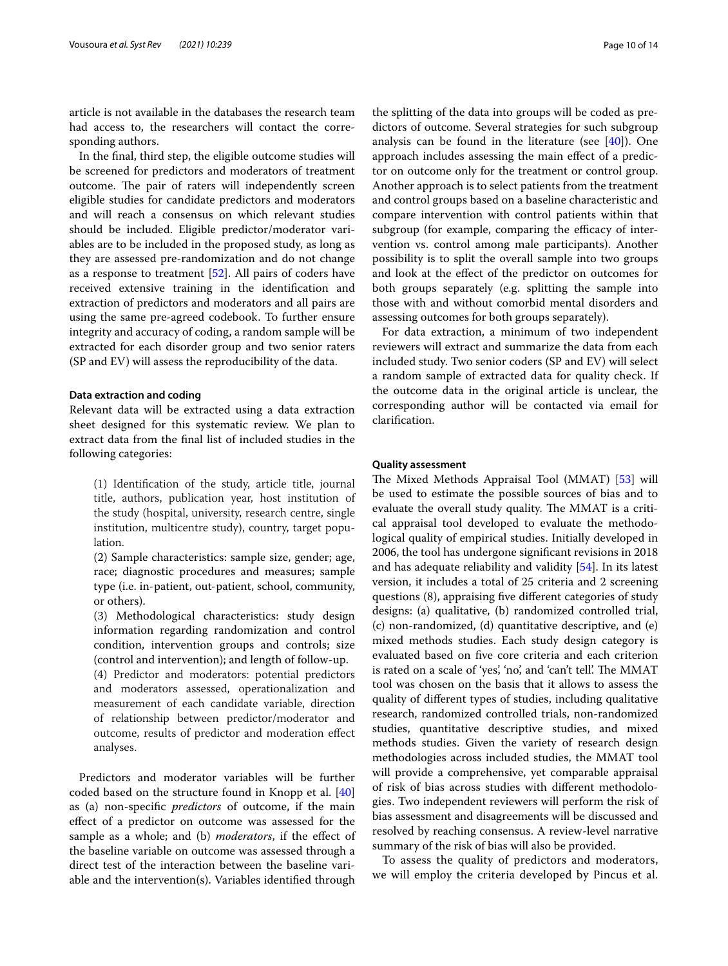article is not available in the databases the research team had access to, the researchers will contact the corresponding authors.

In the fnal, third step, the eligible outcome studies will be screened for predictors and moderators of treatment outcome. The pair of raters will independently screen eligible studies for candidate predictors and moderators and will reach a consensus on which relevant studies should be included. Eligible predictor/moderator variables are to be included in the proposed study, as long as they are assessed pre-randomization and do not change as a response to treatment [[52](#page-13-8)]. All pairs of coders have received extensive training in the identifcation and extraction of predictors and moderators and all pairs are using the same pre-agreed codebook. To further ensure integrity and accuracy of coding, a random sample will be extracted for each disorder group and two senior raters (SP and EV) will assess the reproducibility of the data.

#### **Data extraction and coding**

Relevant data will be extracted using a data extraction sheet designed for this systematic review. We plan to extract data from the fnal list of included studies in the following categories:

(1) Identifcation of the study, article title, journal title, authors, publication year, host institution of the study (hospital, university, research centre, single institution, multicentre study), country, target population.

(2) Sample characteristics: sample size, gender; age, race; diagnostic procedures and measures; sample type (i.e. in-patient, out-patient, school, community, or others).

(3) Methodological characteristics: study design information regarding randomization and control condition, intervention groups and controls; size (control and intervention); and length of follow-up.

(4) Predictor and moderators: potential predictors and moderators assessed, operationalization and measurement of each candidate variable, direction of relationship between predictor/moderator and outcome, results of predictor and moderation efect analyses.

Predictors and moderator variables will be further coded based on the structure found in Knopp et al. [[40](#page-12-34)] as (a) non-specifc *predictors* of outcome, if the main efect of a predictor on outcome was assessed for the sample as a whole; and (b) *moderators*, if the efect of the baseline variable on outcome was assessed through a direct test of the interaction between the baseline variable and the intervention(s). Variables identifed through the splitting of the data into groups will be coded as predictors of outcome. Several strategies for such subgroup analysis can be found in the literature (see  $[40]$ ). One approach includes assessing the main efect of a predictor on outcome only for the treatment or control group. Another approach is to select patients from the treatment and control groups based on a baseline characteristic and compare intervention with control patients within that subgroup (for example, comparing the efficacy of intervention vs. control among male participants). Another possibility is to split the overall sample into two groups and look at the efect of the predictor on outcomes for both groups separately (e.g. splitting the sample into those with and without comorbid mental disorders and assessing outcomes for both groups separately).

For data extraction, a minimum of two independent reviewers will extract and summarize the data from each included study. Two senior coders (SP and EV) will select a random sample of extracted data for quality check. If the outcome data in the original article is unclear, the corresponding author will be contacted via email for clarifcation.

# **Quality assessment**

The Mixed Methods Appraisal Tool (MMAT) [[53](#page-13-9)] will be used to estimate the possible sources of bias and to evaluate the overall study quality. The MMAT is a critical appraisal tool developed to evaluate the methodological quality of empirical studies. Initially developed in 2006, the tool has undergone signifcant revisions in 2018 and has adequate reliability and validity [\[54](#page-13-10)]. In its latest version, it includes a total of 25 criteria and 2 screening questions (8), appraising fve diferent categories of study designs: (a) qualitative, (b) randomized controlled trial, (c) non-randomized, (d) quantitative descriptive, and (e) mixed methods studies. Each study design category is evaluated based on fve core criteria and each criterion is rated on a scale of 'yes', 'no', and 'can't tell'. The MMAT tool was chosen on the basis that it allows to assess the quality of diferent types of studies, including qualitative research, randomized controlled trials, non-randomized studies, quantitative descriptive studies, and mixed methods studies. Given the variety of research design methodologies across included studies, the MMAT tool will provide a comprehensive, yet comparable appraisal of risk of bias across studies with diferent methodologies. Two independent reviewers will perform the risk of bias assessment and disagreements will be discussed and resolved by reaching consensus. A review-level narrative summary of the risk of bias will also be provided.

To assess the quality of predictors and moderators, we will employ the criteria developed by Pincus et al.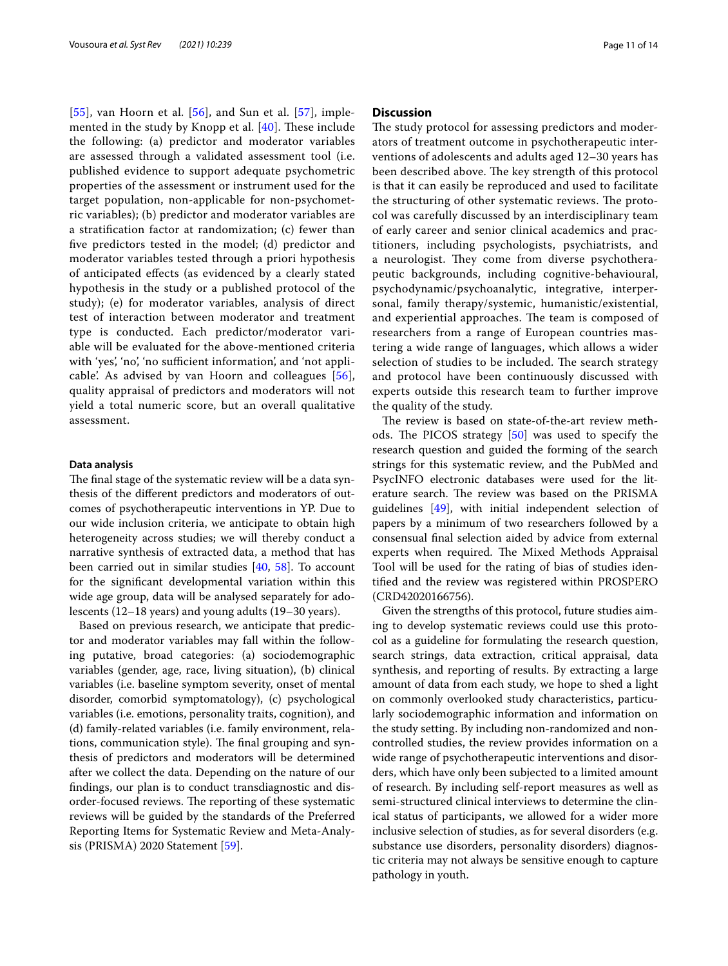$[55]$  $[55]$  $[55]$ , van Hoorn et al.  $[56]$ , and Sun et al.  $[57]$  $[57]$ , implemented in the study by Knopp et al.  $[40]$  $[40]$  $[40]$ . These include the following: (a) predictor and moderator variables are assessed through a validated assessment tool (i.e. published evidence to support adequate psychometric properties of the assessment or instrument used for the target population, non-applicable for non-psychometric variables); (b) predictor and moderator variables are a stratifcation factor at randomization; (c) fewer than fve predictors tested in the model; (d) predictor and moderator variables tested through a priori hypothesis of anticipated efects (as evidenced by a clearly stated hypothesis in the study or a published protocol of the study); (e) for moderator variables, analysis of direct test of interaction between moderator and treatment type is conducted. Each predictor/moderator variable will be evaluated for the above-mentioned criteria with 'yes', 'no', 'no sufficient information', and 'not applicable'. As advised by van Hoorn and colleagues [[56](#page-13-12)], quality appraisal of predictors and moderators will not yield a total numeric score, but an overall qualitative assessment.

## **Data analysis**

The final stage of the systematic review will be a data synthesis of the diferent predictors and moderators of outcomes of psychotherapeutic interventions in YP. Due to our wide inclusion criteria, we anticipate to obtain high heterogeneity across studies; we will thereby conduct a narrative synthesis of extracted data, a method that has been carried out in similar studies [\[40](#page-12-34), [58\]](#page-13-14). To account for the signifcant developmental variation within this wide age group, data will be analysed separately for adolescents (12–18 years) and young adults (19–30 years).

Based on previous research, we anticipate that predictor and moderator variables may fall within the following putative, broad categories: (a) sociodemographic variables (gender, age, race, living situation), (b) clinical variables (i.e. baseline symptom severity, onset of mental disorder, comorbid symptomatology), (c) psychological variables (i.e. emotions, personality traits, cognition), and (d) family-related variables (i.e. family environment, relations, communication style). The final grouping and synthesis of predictors and moderators will be determined after we collect the data. Depending on the nature of our fndings, our plan is to conduct transdiagnostic and disorder-focused reviews. The reporting of these systematic reviews will be guided by the standards of the Preferred Reporting Items for Systematic Review and Meta-Analysis (PRISMA) 2020 Statement [[59](#page-13-15)].

## **Discussion**

The study protocol for assessing predictors and moderators of treatment outcome in psychotherapeutic interventions of adolescents and adults aged 12–30 years has been described above. The key strength of this protocol is that it can easily be reproduced and used to facilitate the structuring of other systematic reviews. The protocol was carefully discussed by an interdisciplinary team of early career and senior clinical academics and practitioners, including psychologists, psychiatrists, and a neurologist. They come from diverse psychotherapeutic backgrounds, including cognitive-behavioural, psychodynamic/psychoanalytic, integrative, interpersonal, family therapy/systemic, humanistic/existential, and experiential approaches. The team is composed of researchers from a range of European countries mastering a wide range of languages, which allows a wider selection of studies to be included. The search strategy and protocol have been continuously discussed with experts outside this research team to further improve the quality of the study.

The review is based on state-of-the-art review methods. The PICOS strategy  $[50]$  $[50]$  was used to specify the research question and guided the forming of the search strings for this systematic review, and the PubMed and PsycINFO electronic databases were used for the literature search. The review was based on the PRISMA guidelines [\[49](#page-13-5)], with initial independent selection of papers by a minimum of two researchers followed by a consensual fnal selection aided by advice from external experts when required. The Mixed Methods Appraisal Tool will be used for the rating of bias of studies identifed and the review was registered within PROSPERO (CRD42020166756).

Given the strengths of this protocol, future studies aiming to develop systematic reviews could use this protocol as a guideline for formulating the research question, search strings, data extraction, critical appraisal, data synthesis, and reporting of results. By extracting a large amount of data from each study, we hope to shed a light on commonly overlooked study characteristics, particularly sociodemographic information and information on the study setting. By including non-randomized and noncontrolled studies, the review provides information on a wide range of psychotherapeutic interventions and disorders, which have only been subjected to a limited amount of research. By including self-report measures as well as semi-structured clinical interviews to determine the clinical status of participants, we allowed for a wider more inclusive selection of studies, as for several disorders (e.g. substance use disorders, personality disorders) diagnostic criteria may not always be sensitive enough to capture pathology in youth.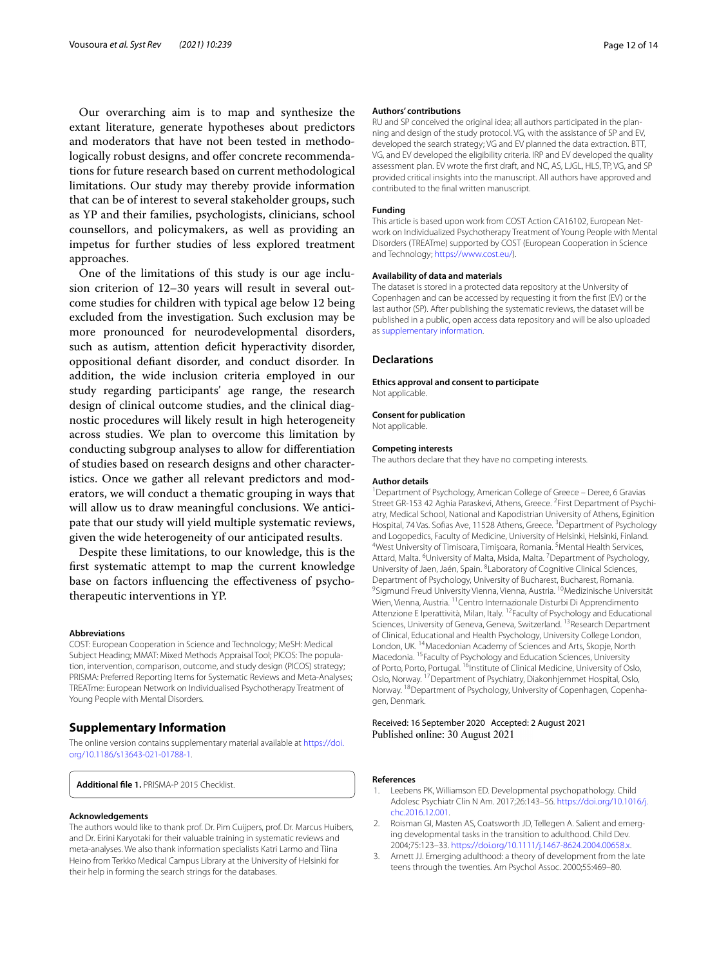Our overarching aim is to map and synthesize the extant literature, generate hypotheses about predictors and moderators that have not been tested in methodologically robust designs, and offer concrete recommendations for future research based on current methodological limitations. Our study may thereby provide information that can be of interest to several stakeholder groups, such as YP and their families, psychologists, clinicians, school counsellors, and policymakers, as well as providing an impetus for further studies of less explored treatment approaches.

One of the limitations of this study is our age inclusion criterion of 12–30 years will result in several outcome studies for children with typical age below 12 being excluded from the investigation. Such exclusion may be more pronounced for neurodevelopmental disorders, such as autism, attention deficit hyperactivity disorder, oppositional defant disorder, and conduct disorder. In addition, the wide inclusion criteria employed in our study regarding participants' age range, the research design of clinical outcome studies, and the clinical diagnostic procedures will likely result in high heterogeneity across studies. We plan to overcome this limitation by conducting subgroup analyses to allow for diferentiation of studies based on research designs and other characteristics. Once we gather all relevant predictors and moderators, we will conduct a thematic grouping in ways that will allow us to draw meaningful conclusions. We anticipate that our study will yield multiple systematic reviews, given the wide heterogeneity of our anticipated results.

Despite these limitations, to our knowledge, this is the frst systematic attempt to map the current knowledge base on factors infuencing the efectiveness of psychotherapeutic interventions in YP.

#### **Abbreviations**

COST: European Cooperation in Science and Technology; MeSH: Medical Subject Heading; MMAT: Mixed Methods Appraisal Tool; PICOS: The population, intervention, comparison, outcome, and study design (PICOS) strategy; PRISMA: Preferred Reporting Items for Systematic Reviews and Meta-Analyses; TREATme: European Network on Individualised Psychotherapy Treatment of Young People with Mental Disorders.

## **Supplementary Information**

The online version contains supplementary material available at [https://doi.](https://doi.org/10.1186/s13643-021-01788-1) [org/10.1186/s13643-021-01788-1](https://doi.org/10.1186/s13643-021-01788-1).

<span id="page-11-3"></span>**Additional fle 1.** PRISMA-P 2015 Checklist.

#### **Acknowledgements**

The authors would like to thank prof. Dr. Pim Cuijpers, prof. Dr. Marcus Huibers, and Dr. Eirini Karyotaki for their valuable training in systematic reviews and meta-analyses. We also thank information specialists Katri Larmo and Tiina Heino from Terkko Medical Campus Library at the University of Helsinki for their help in forming the search strings for the databases.

#### **Authors' contributions**

RU and SP conceived the original idea; all authors participated in the planning and design of the study protocol. VG, with the assistance of SP and EV, developed the search strategy; VG and EV planned the data extraction. BTT, VG, and EV developed the eligibility criteria. IRP and EV developed the quality assessment plan. EV wrote the frst draft, and NC, AS, LJGL, HLS, TP, VG, and SP provided critical insights into the manuscript. All authors have approved and contributed to the fnal written manuscript.

#### **Funding**

This article is based upon work from COST Action CA16102, European Network on Individualized Psychotherapy Treatment of Young People with Mental Disorders (TREATme) supported by COST (European Cooperation in Science and Technology; <https://www.cost.eu/>).

#### **Availability of data and materials**

The dataset is stored in a protected data repository at the University of Copenhagen and can be accessed by requesting it from the frst (EV) or the last author (SP). After publishing the systematic reviews, the dataset will be published in a public, open access data repository and will be also uploaded as [supplementary information.](#page-11-3)

#### **Declarations**

#### **Ethics approval and consent to participate** Not applicable.

#### **Consent for publication**

Not applicable.

#### **Competing interests**

The authors declare that they have no competing interests.

#### **Author details**

<sup>1</sup> Department of Psychology, American College of Greece - Deree, 6 Gravias Street GR-153 42 Aghia Paraskevi, Athens, Greece. <sup>2</sup> First Department of Psychiatry, Medical School, National and Kapodistrian University of Athens, Eginition Hospital, 74 Vas. Sofias Ave, 11528 Athens, Greece. <sup>3</sup> Department of Psychology and Logopedics, Faculty of Medicine, University of Helsinki, Helsinki, Finland. 4 West University of Timisoara, Timișoara, Romania.<sup>5</sup> Mental Health Services, Attard, Malta. <sup>6</sup>University of Malta, Msida, Malta. <sup>7</sup> Department of Psychology, University of Jaen, Jaén, Spain. <sup>8</sup> Laboratory of Cognitive Clinical Sciences, Department of Psychology, University of Bucharest, Bucharest, Romania. <sup>9</sup>Sigmund Freud University Vienna, Vienna, Austria. <sup>10</sup>Medizinische Universität Wien, Vienna, Austria. 11Centro Internazionale Disturbi Di Apprendimento Attenzione E Iperattività, Milan, Italy. 12Faculty of Psychology and Educational Sciences, University of Geneva, Geneva, Switzerland. <sup>13</sup>Research Department of Clinical, Educational and Health Psychology, University College London, London, UK. 14Macedonian Academy of Sciences and Arts, Skopje, North Macedonia. 15Faculty of Psychology and Education Sciences, University of Porto, Porto, Portugal. <sup>16</sup>Institute of Clinical Medicine, University of Oslo, Oslo, Norway. 17Department of Psychiatry, Diakonhjemmet Hospital, Oslo, Norway. <sup>18</sup>Department of Psychology, University of Copenhagen, Copenhagen, Denmark.

#### Received: 16 September 2020 Accepted: 2 August 2021 Published online: 30 August 2021

#### **References**

- <span id="page-11-0"></span>Leebens PK, Williamson ED. Developmental psychopathology. Child Adolesc Psychiatr Clin N Am. 2017;26:143–56. [https://doi.org/10.1016/j.](https://doi.org/10.1016/j.chc.2016.12.001) [chc.2016.12.001](https://doi.org/10.1016/j.chc.2016.12.001).
- <span id="page-11-1"></span>2. Roisman GI, Masten AS, Coatsworth JD, Tellegen A. Salient and emerging developmental tasks in the transition to adulthood. Child Dev. 2004;75:123–33. [https://doi.org/10.1111/j.1467-8624.2004.00658.x.](https://doi.org/10.1111/j.1467-8624.2004.00658.x)
- <span id="page-11-2"></span>3. Arnett JJ. Emerging adulthood: a theory of development from the late teens through the twenties. Am Psychol Assoc. 2000;55:469–80.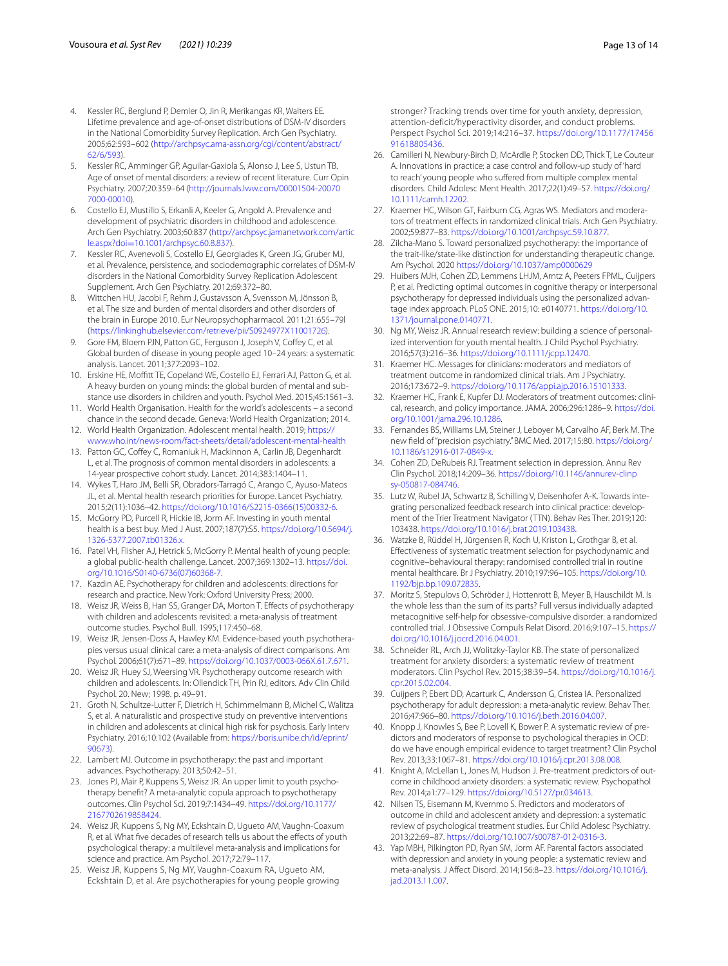- <span id="page-12-0"></span>4. Kessler RC, Berglund P, Demler O, Jin R, Merikangas KR, Walters EE. Lifetime prevalence and age-of-onset distributions of DSM-IV disorders in the National Comorbidity Survey Replication. Arch Gen Psychiatry. 2005;62:593–602 ([http://archpsyc.ama-assn.org/cgi/content/abstract/](http://archpsyc.ama-assn.org/cgi/content/abstract/62/6/593) [62/6/593\)](http://archpsyc.ama-assn.org/cgi/content/abstract/62/6/593).
- <span id="page-12-1"></span>5. Kessler RC, Amminger GP, Aguilar-Gaxiola S, Alonso J, Lee S, Ustun TB. Age of onset of mental disorders: a review of recent literature. Curr Opin Psychiatry. 2007;20:359–64 ([http://journals.lww.com/00001504-20070](http://journals.lww.com/00001504-200707000-00010) [7000-00010\)](http://journals.lww.com/00001504-200707000-00010).
- <span id="page-12-2"></span>6. Costello EJ, Mustillo S, Erkanli A, Keeler G, Angold A. Prevalence and development of psychiatric disorders in childhood and adolescence. Arch Gen Psychiatry. 2003;60:837 [\(http://archpsyc.jamanetwork.com/artic](http://archpsyc.jamanetwork.com/article.aspx?doi=10.1001/archpsyc.60.8.837) le.aspx?doi=[10.1001/archpsyc.60.8.837](http://archpsyc.jamanetwork.com/article.aspx?doi=10.1001/archpsyc.60.8.837)).
- <span id="page-12-3"></span>7. Kessler RC, Avenevoli S, Costello EJ, Georgiades K, Green JG, Gruber MJ, et al. Prevalence, persistence, and sociodemographic correlates of DSM-IV disorders in the National Comorbidity Survey Replication Adolescent Supplement. Arch Gen Psychiatry. 2012;69:372–80.
- <span id="page-12-4"></span>8. Wittchen HU, Jacobi F, Rehm J, Gustavsson A, Svensson M, Jönsson B, et al. The size and burden of mental disorders and other disorders of the brain in Europe 2010. Eur Neuropsychopharmacol. 2011;21:655–79l (<https://linkinghub.elsevier.com/retrieve/pii/S0924977X11001726>).
- <span id="page-12-5"></span>9. Gore FM, Bloem PJN, Patton GC, Ferguson J, Joseph V, Coffey C, et al. Global burden of disease in young people aged 10–24 years: a systematic analysis. Lancet. 2011;377:2093–102.
- 10. Erskine HE, Moffitt TE, Copeland WE, Costello EJ, Ferrari AJ, Patton G, et al. A heavy burden on young minds: the global burden of mental and substance use disorders in children and youth. Psychol Med. 2015;45:1561–3.
- <span id="page-12-6"></span>11. World Health Organisation. Health for the world's adolescents – a second chance in the second decade. Geneva: World Health Organization; 2014.
- <span id="page-12-7"></span>12. World Health Organization. Adolescent mental health. 2019; [https://](https://www.who.int/news-room/fact-sheets/detail/adolescent-mental-health) [www.who.int/news-room/fact-sheets/detail/adolescent-mental-health](https://www.who.int/news-room/fact-sheets/detail/adolescent-mental-health)
- <span id="page-12-8"></span>13. Patton GC, Coffey C, Romaniuk H, Mackinnon A, Carlin JB, Degenhardt L, et al. The prognosis of common mental disorders in adolescents: a 14-year prospective cohort study. Lancet. 2014;383:1404–11.
- <span id="page-12-9"></span>14. Wykes T, Haro JM, Belli SR, Obradors-Tarragó C, Arango C, Ayuso-Mateos JL, et al. Mental health research priorities for Europe. Lancet Psychiatry. 2015;2(11):1036–42. [https://doi.org/10.1016/S2215-0366\(15\)00332-6.](https://doi.org/10.1016/S2215-0366(15)00332-6)
- <span id="page-12-10"></span>15. McGorry PD, Purcell R, Hickie IB, Jorm AF. Investing in youth mental health is a best buy. Med J Aust. 2007;187(7):S5. [https://doi.org/10.5694/j.](https://doi.org/10.5694/j.1326-5377.2007.tb01326.x) [1326-5377.2007.tb01326.x.](https://doi.org/10.5694/j.1326-5377.2007.tb01326.x)
- <span id="page-12-11"></span>16. Patel VH, Flisher AJ, Hetrick S, McGorry P. Mental health of young people: a global public-health challenge. Lancet. 2007;369:1302–13. [https://doi.](https://doi.org/10.1016/S0140-6736(07)60368-7) [org/10.1016/S0140-6736\(07\)60368-7.](https://doi.org/10.1016/S0140-6736(07)60368-7)
- <span id="page-12-12"></span>17. Kazdin AE. Psychotherapy for children and adolescents: directions for research and practice. New York: Oxford University Press; 2000.
- <span id="page-12-13"></span>18. Weisz JR, Weiss B, Han SS, Granger DA, Morton T. Efects of psychotherapy with children and adolescents revisited: a meta-analysis of treatment outcome studies. Psychol Bull. 1995;117:450–68.
- <span id="page-12-14"></span>19. Weisz JR, Jensen-Doss A, Hawley KM. Evidence-based youth psychotherapies versus usual clinical care: a meta-analysis of direct comparisons. Am Psychol. 2006;61(7):671–89.<https://doi.org/10.1037/0003-066X.61.7.671>.
- <span id="page-12-15"></span>20. Weisz JR, Huey SJ, Weersing VR. Psychotherapy outcome research with children and adolescents. In: Ollendick TH, Prin RJ, editors. Adv Clin Child Psychol. 20. New; 1998. p. 49–91.
- <span id="page-12-16"></span>21. Groth N, Schultze-Lutter F, Dietrich H, Schimmelmann B, Michel C, Walitza S, et al. A naturalistic and prospective study on preventive interventions in children and adolescents at clinical high risk for psychosis. Early Interv Psychiatry. 2016;10:102 (Available from: [https://boris.unibe.ch/id/eprint/](https://boris.unibe.ch/id/eprint/90673) [90673](https://boris.unibe.ch/id/eprint/90673)).
- <span id="page-12-17"></span>22. Lambert MJ. Outcome in psychotherapy: the past and important advances. Psychotherapy. 2013;50:42–51.
- <span id="page-12-18"></span>23. Jones PJ, Mair P, Kuppens S, Weisz JR. An upper limit to youth psychotherapy beneft? A meta-analytic copula approach to psychotherapy outcomes. Clin Psychol Sci. 2019;7:1434–49. [https://doi.org/10.1177/](https://doi.org/10.1177/2167702619858424) [2167702619858424](https://doi.org/10.1177/2167702619858424).
- <span id="page-12-19"></span>24. Weisz JR, Kuppens S, Ng MY, Eckshtain D, Ugueto AM, Vaughn-Coaxum R, et al. What five decades of research tells us about the effects of youth psychological therapy: a multilevel meta-analysis and implications for science and practice. Am Psychol. 2017;72:79–117.
- <span id="page-12-20"></span>25. Weisz JR, Kuppens S, Ng MY, Vaughn-Coaxum RA, Ugueto AM, Eckshtain D, et al. Are psychotherapies for young people growing

stronger? Tracking trends over time for youth anxiety, depression, attention-deficit/hyperactivity disorder, and conduct problems. Perspect Psychol Sci. 2019;14:216–37. [https://doi.org/10.1177/17456](https://doi.org/10.1177/1745691618805436) [91618805436](https://doi.org/10.1177/1745691618805436).

- <span id="page-12-21"></span>26. Camilleri N, Newbury-Birch D, McArdle P, Stocken DD, Thick T, Le Couteur A. Innovations in practice: a case control and follow-up study of 'hard to reach' young people who suffered from multiple complex mental disorders. Child Adolesc Ment Health. 2017;22(1):49–57. [https://doi.org/](https://doi.org/10.1111/camh.12202) [10.1111/camh.12202](https://doi.org/10.1111/camh.12202).
- <span id="page-12-22"></span>27. Kraemer HC, Wilson GT, Fairburn CG, Agras WS. Mediators and moderators of treatment efects in randomized clinical trials. Arch Gen Psychiatry. 2002;59:877–83.<https://doi.org/10.1001/archpsyc.59.10.877>.
- <span id="page-12-23"></span>28. Zilcha-Mano S. Toward personalized psychotherapy: the importance of the trait-like/state-like distinction for understanding therapeutic change. Am Psychol. 2020 <https://doi.org/10.1037/amp0000629>
- <span id="page-12-24"></span>29. Huibers MJH, Cohen ZD, Lemmens LHJM, Arntz A, Peeters FPML, Cuijpers P, et al. Predicting optimal outcomes in cognitive therapy or interpersonal psychotherapy for depressed individuals using the personalized advantage index approach. PLoS ONE. 2015;10: e0140771. [https://doi.org/10.](https://doi.org/10.1371/journal.pone.0140771) [1371/journal.pone.0140771.](https://doi.org/10.1371/journal.pone.0140771)
- <span id="page-12-25"></span>30. Ng MY, Weisz JR. Annual research review: building a science of personalized intervention for youth mental health. J Child Psychol Psychiatry. 2016;57(3):216–36. <https://doi.org/10.1111/jcpp.12470>.
- <span id="page-12-26"></span>31. Kraemer HC. Messages for clinicians: moderators and mediators of treatment outcome in randomized clinical trials. Am J Psychiatry. 2016;173:672–9.<https://doi.org/10.1176/appi.ajp.2016.15101333>.
- <span id="page-12-27"></span>32. Kraemer HC, Frank E, Kupfer DJ. Moderators of treatment outcomes: clinical, research, and policy importance. JAMA. 2006;296:1286–9. [https://doi.](https://doi.org/10.1001/jama.296.10.1286) [org/10.1001/jama.296.10.1286.](https://doi.org/10.1001/jama.296.10.1286)
- <span id="page-12-28"></span>33. Fernandes BS, Williams LM, Steiner J, Leboyer M, Carvalho AF, Berk M. The new feld of "precision psychiatry." BMC Med. 2017;15:80. [https://doi.org/](https://doi.org/10.1186/s12916-017-0849-x) [10.1186/s12916-017-0849-x](https://doi.org/10.1186/s12916-017-0849-x).
- <span id="page-12-29"></span>34. Cohen ZD, DeRubeis RJ. Treatment selection in depression. Annu Rev Clin Psychol. 2018;14:209–36. [https://doi.org/10.1146/annurev-clinp](https://doi.org/10.1146/annurev-clinpsy-050817-084746) [sy-050817-084746](https://doi.org/10.1146/annurev-clinpsy-050817-084746).
- <span id="page-12-30"></span>35. Lutz W, Rubel JA, Schwartz B, Schilling V, Deisenhofer A-K. Towards integrating personalized feedback research into clinical practice: development of the Trier Treatment Navigator (TTN). Behav Res Ther. 2019;120: 103438. [https://doi.org/10.1016/j.brat.2019.103438.](https://doi.org/10.1016/j.brat.2019.103438)
- <span id="page-12-31"></span>36. Watzke B, Rüddel H, Jürgensen R, Koch U, Kriston L, Grothgar B, et al. Efectiveness of systematic treatment selection for psychodynamic and cognitive–behavioural therapy: randomised controlled trial in routine mental healthcare. Br J Psychiatry. 2010;197:96–105. [https://doi.org/10.](https://doi.org/10.1192/bjp.bp.109.072835) [1192/bjp.bp.109.072835.](https://doi.org/10.1192/bjp.bp.109.072835)
- <span id="page-12-32"></span>37. Moritz S, Stepulovs O, Schröder J, Hottenrott B, Meyer B, Hauschildt M. Is the whole less than the sum of its parts? Full versus individually adapted metacognitive self-help for obsessive-compulsive disorder: a randomized controlled trial. J Obsessive Compuls Relat Disord. 2016;9:107–15. [https://](https://doi.org/10.1016/j.jocrd.2016.04.001) [doi.org/10.1016/j.jocrd.2016.04.001](https://doi.org/10.1016/j.jocrd.2016.04.001).
- <span id="page-12-33"></span>38. Schneider RL, Arch JJ, Wolitzky-Taylor KB. The state of personalized treatment for anxiety disorders: a systematic review of treatment moderators. Clin Psychol Rev. 2015;38:39–54. [https://doi.org/10.1016/j.](https://doi.org/10.1016/j.cpr.2015.02.004) [cpr.2015.02.004.](https://doi.org/10.1016/j.cpr.2015.02.004)
- 39. Cuijpers P, Ebert DD, Acarturk C, Andersson G, Cristea IA. Personalized psychotherapy for adult depression: a meta-analytic review. Behav Ther. 2016;47:966–80. [https://doi.org/10.1016/j.beth.2016.04.007.](https://doi.org/10.1016/j.beth.2016.04.007)
- <span id="page-12-34"></span>40. Knopp J, Knowles S, Bee P, Lovell K, Bower P. A systematic review of predictors and moderators of response to psychological therapies in OCD: do we have enough empirical evidence to target treatment? Clin Psychol Rev. 2013;33:1067–81. <https://doi.org/10.1016/j.cpr.2013.08.008>.
- <span id="page-12-35"></span>41. Knight A, McLellan L, Jones M, Hudson J, Pre-treatment predictors of outcome in childhood anxiety disorders: a systematic review. Psychopathol Rev. 2014;a1:77–129. [https://doi.org/10.5127/pr.034613.](https://doi.org/10.5127/pr.034613)
- 42. Nilsen TS, Eisemann M, Kvernmo S. Predictors and moderators of outcome in child and adolescent anxiety and depression: a systematic review of psychological treatment studies. Eur Child Adolesc Psychiatry. 2013;22:69–87. [https://doi.org/10.1007/s00787-012-0316-3.](https://doi.org/10.1007/s00787-012-0316-3)
- <span id="page-12-36"></span>43. Yap MBH, Pilkington PD, Ryan SM, Jorm AF. Parental factors associated with depression and anxiety in young people: a systematic review and meta-analysis. J Afect Disord. 2014;156:8–23. [https://doi.org/10.1016/j.](https://doi.org/10.1016/j.jad.2013.11.007) [jad.2013.11.007.](https://doi.org/10.1016/j.jad.2013.11.007)